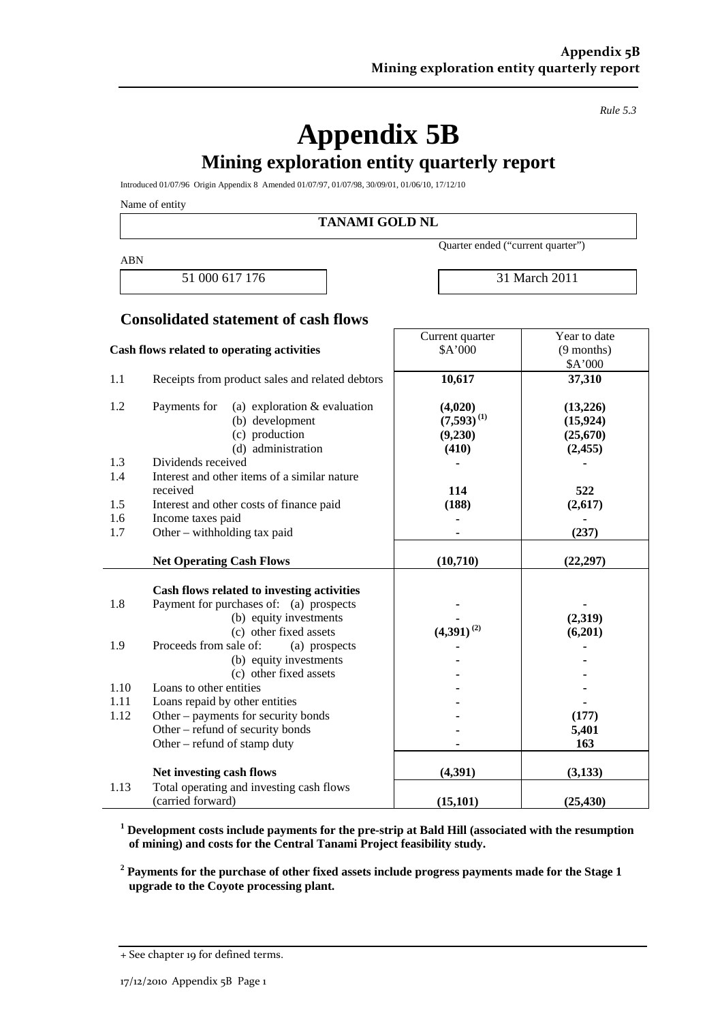*Rule 5.3* 

# **Appendix 5B**

## **Mining exploration entity quarterly report**

Introduced 01/07/96 Origin Appendix 8 Amended 01/07/97, 01/07/98, 30/09/01, 01/06/10, 17/12/10

Name of entity

**TANAMI GOLD NL** 

ABN

Quarter ended ("current quarter")

Current quarter

51 000 617 176 31 March 2011

Year to date

#### **Consolidated statement of cash flows**

| Cash flows related to operating activities |                                                 | \$A'000         | $(9$ months) |
|--------------------------------------------|-------------------------------------------------|-----------------|--------------|
|                                            |                                                 |                 | \$A'000      |
| 1.1                                        | Receipts from product sales and related debtors | 10,617          | 37,310       |
| 1.2                                        | Payments for<br>(a) exploration $&$ evaluation  | (4,020)         | (13,226)     |
|                                            | (b) development                                 | $(7,593)^{(1)}$ | (15, 924)    |
|                                            | (c) production                                  | (9,230)         | (25,670)     |
|                                            | (d) administration                              | (410)           | (2,455)      |
| 1.3                                        | Dividends received                              |                 |              |
| 1.4                                        | Interest and other items of a similar nature    |                 |              |
|                                            | received                                        | 114             | 522          |
| 1.5                                        | Interest and other costs of finance paid        | (188)           | (2,617)      |
| 1.6                                        | Income taxes paid                               |                 |              |
| 1.7                                        | Other - withholding tax paid                    |                 | (237)        |
|                                            | <b>Net Operating Cash Flows</b>                 | (10, 710)       | (22, 297)    |
|                                            |                                                 |                 |              |
|                                            | Cash flows related to investing activities      |                 |              |
| 1.8                                        | Payment for purchases of: (a) prospects         |                 |              |
|                                            | (b) equity investments                          |                 | (2,319)      |
|                                            | (c) other fixed assets                          | $(4,391)^{(2)}$ | (6,201)      |
| 1.9                                        | Proceeds from sale of:<br>(a) prospects         |                 |              |
|                                            | (b) equity investments                          |                 |              |
|                                            | (c) other fixed assets                          |                 |              |
| 1.10                                       | Loans to other entities                         |                 |              |
| 1.11                                       | Loans repaid by other entities                  |                 |              |
| 1.12                                       | Other – payments for security bonds             |                 | (177)        |
|                                            | Other – refund of security bonds                |                 | 5,401        |
|                                            | Other – refund of stamp duty                    |                 | 163          |
|                                            | Net investing cash flows                        | (4,391)         | (3,133)      |
| 1.13                                       | Total operating and investing cash flows        |                 |              |
|                                            | (carried forward)                               | (15, 101)       | (25, 430)    |

**1 Development costs include payments for the pre-strip at Bald Hill (associated with the resumption of mining) and costs for the Central Tanami Project feasibility study.** 

**2 Payments for the purchase of other fixed assets include progress payments made for the Stage 1 upgrade to the Coyote processing plant.** 

<sup>+</sup> See chapter 19 for defined terms.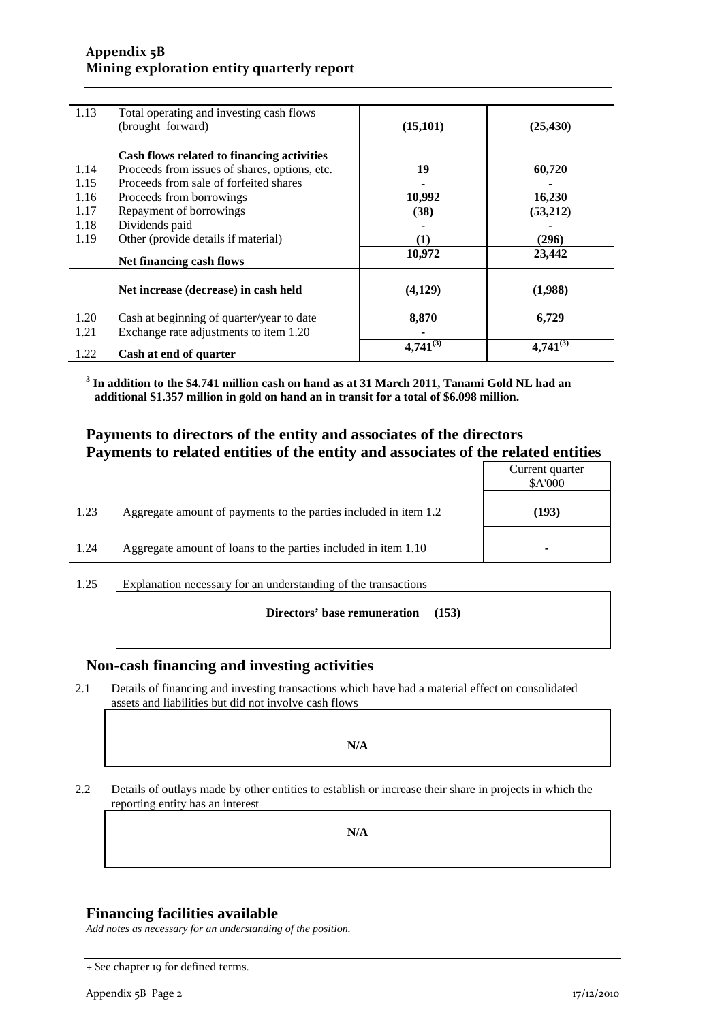#### **Appendix 5B Mining exploration entity quarterly report**

| 1.13 | Total operating and investing cash flows      |               |               |
|------|-----------------------------------------------|---------------|---------------|
|      | (brought forward)                             | (15, 101)     | (25, 430)     |
|      |                                               |               |               |
|      | Cash flows related to financing activities    |               |               |
| 1.14 | Proceeds from issues of shares, options, etc. | 19            | 60,720        |
| 1.15 | Proceeds from sale of forfeited shares        |               |               |
| 1.16 | Proceeds from borrowings                      | 10,992        | 16,230        |
| 1.17 | Repayment of borrowings                       | (38)          | (53,212)      |
| 1.18 | Dividends paid                                |               |               |
| 1.19 | Other (provide details if material)           | $\bf(1)$      | (296)         |
|      | Net financing cash flows                      | 10,972        | 23,442        |
|      |                                               |               |               |
|      | Net increase (decrease) in cash held          | (4,129)       | (1,988)       |
| 1.20 | Cash at beginning of quarter/year to date     | 8,870         | 6,729         |
| 1.21 | Exchange rate adjustments to item 1.20        |               |               |
|      |                                               | $4,741^{(3)}$ | $4,741^{(3)}$ |
| 1.22 | Cash at end of quarter                        |               |               |

**3 In addition to the \$4.741 million cash on hand as at 31 March 2011, Tanami Gold NL had an additional \$1.357 million in gold on hand an in transit for a total of \$6.098 million.** 

#### **Payments to directors of the entity and associates of the directors Payments to related entities of the entity and associates of the related entities**

|      |                                                                  | Current quarter<br>\$A'000 |
|------|------------------------------------------------------------------|----------------------------|
| 1.23 | Aggregate amount of payments to the parties included in item 1.2 | (193)                      |
| 1.24 | Aggregate amount of loans to the parties included in item 1.10   | ۰                          |

1.25 Explanation necessary for an understanding of the transactions

#### **Directors' base remuneration (153)**

#### **Non-cash financing and investing activities**

2.1 Details of financing and investing transactions which have had a material effect on consolidated assets and liabilities but did not involve cash flows

#### **N/A**

2.2 Details of outlays made by other entities to establish or increase their share in projects in which the reporting entity has an interest

**N/A** 

#### **Financing facilities available**

*Add notes as necessary for an understanding of the position.* 

<sup>+</sup> See chapter 19 for defined terms.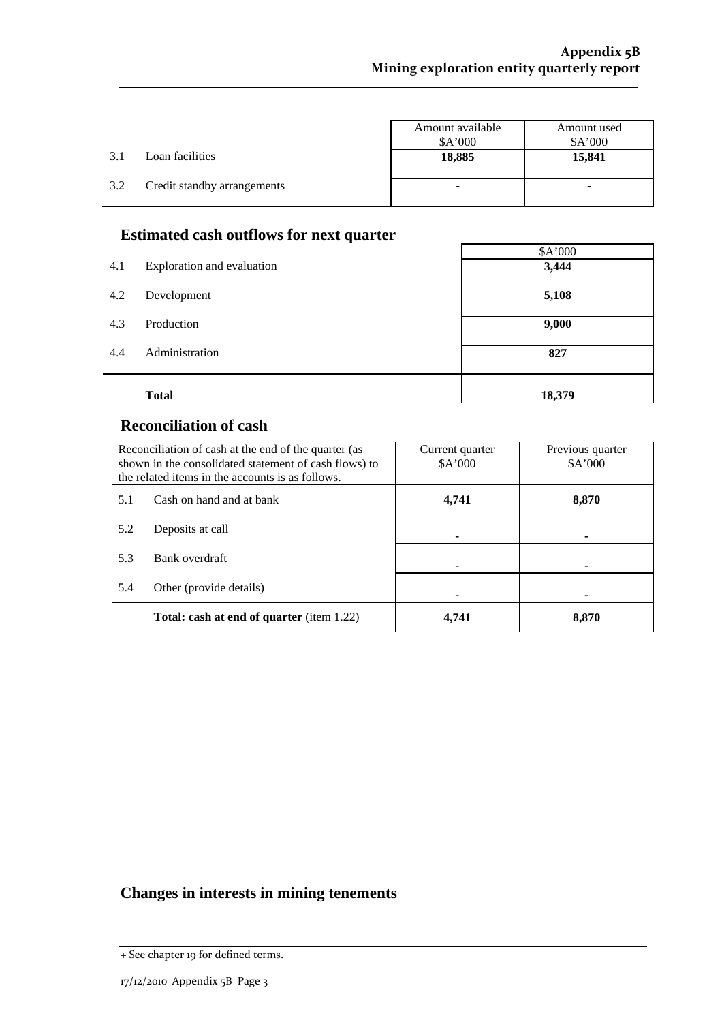$\Gamma$ 

|     |                             | Amount available<br>A'000 | Amount used<br>\$A'000 |
|-----|-----------------------------|---------------------------|------------------------|
| 3.1 | Loan facilities             | 18,885                    | 15,841                 |
| 3.2 | Credit standby arrangements | ۰                         | ۰                      |

### **Estimated cash outflows for next quarter**

| 4.1 | Exploration and evaluation | \$A'000<br>3,444 |
|-----|----------------------------|------------------|
| 4.2 | Development                | 5,108            |
| 4.3 | Production                 | 9,000            |
| 4.4 | Administration             | 827              |
|     | <b>Total</b>               | 18,379           |

#### **Reconciliation of cash**

i.

| Reconciliation of cash at the end of the quarter (as<br>shown in the consolidated statement of cash flows) to<br>the related items in the accounts is as follows. |                                                  | Current quarter<br>A'000 | Previous quarter<br>\$A'000 |
|-------------------------------------------------------------------------------------------------------------------------------------------------------------------|--------------------------------------------------|--------------------------|-----------------------------|
| Cash on hand and at bank<br>5.1                                                                                                                                   |                                                  | 4,741                    | 8,870                       |
| 5.2                                                                                                                                                               | Deposits at call                                 |                          | ۰                           |
| 5.3                                                                                                                                                               | Bank overdraft                                   |                          |                             |
| 5.4                                                                                                                                                               | Other (provide details)                          |                          | ۰                           |
|                                                                                                                                                                   | <b>Total: cash at end of quarter</b> (item 1.22) | 4.741                    | 8.870                       |

## **Changes in interests in mining tenements**

<sup>+</sup> See chapter 19 for defined terms.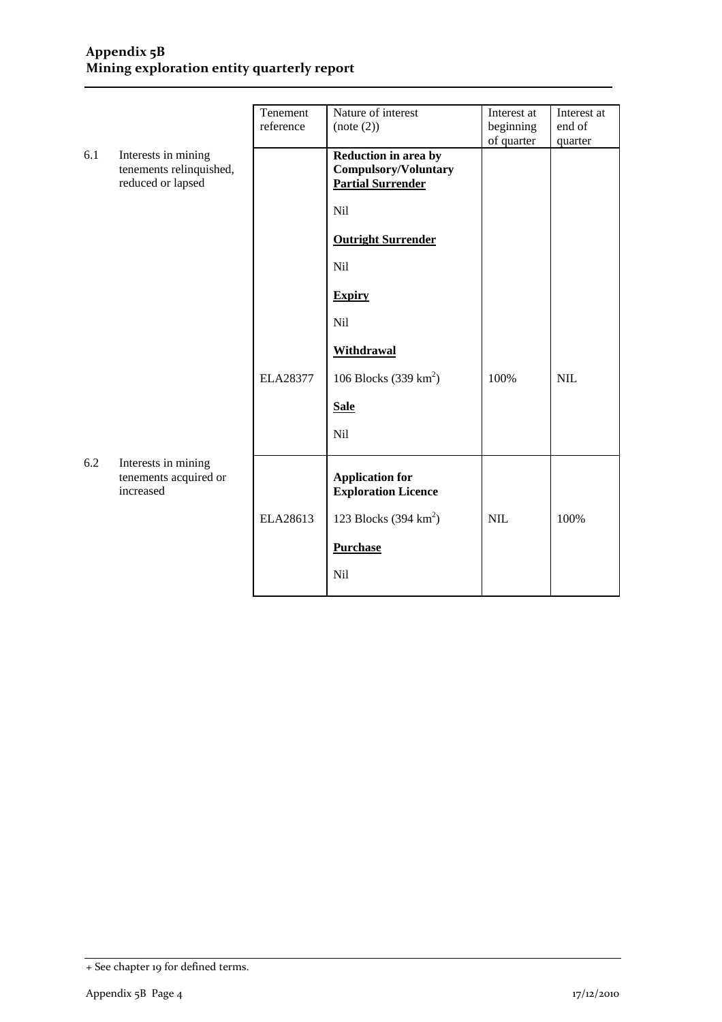#### **Appendix 5B Mining exploration entity quarterly report**

|     |                                                                     | Tenement<br>reference | Nature of interest<br>(note (2))                                                | Interest at<br>beginning<br>of quarter | Interest at<br>end of<br>quarter |
|-----|---------------------------------------------------------------------|-----------------------|---------------------------------------------------------------------------------|----------------------------------------|----------------------------------|
| 6.1 | Interests in mining<br>tenements relinquished,<br>reduced or lapsed |                       | Reduction in area by<br><b>Compulsory/Voluntary</b><br><b>Partial Surrender</b> |                                        |                                  |
|     |                                                                     |                       | Nil                                                                             |                                        |                                  |
|     |                                                                     |                       | <b>Outright Surrender</b>                                                       |                                        |                                  |
|     |                                                                     |                       | <b>Nil</b>                                                                      |                                        |                                  |
|     |                                                                     |                       | <b>Expiry</b>                                                                   |                                        |                                  |
|     |                                                                     |                       | Nil                                                                             |                                        |                                  |
|     |                                                                     |                       | <b>Withdrawal</b>                                                               |                                        |                                  |
|     |                                                                     | ELA28377              | 106 Blocks $(339 \text{ km}^2)$                                                 | 100%                                   | <b>NIL</b>                       |
|     |                                                                     |                       | <b>Sale</b>                                                                     |                                        |                                  |
|     |                                                                     |                       | <b>Nil</b>                                                                      |                                        |                                  |
| 6.2 | Interests in mining<br>tenements acquired or<br>increased           |                       | <b>Application for</b><br><b>Exploration Licence</b>                            |                                        |                                  |
|     |                                                                     | ELA28613              | 123 Blocks $(394 \text{ km}^2)$                                                 | <b>NIL</b>                             | 100%                             |
|     |                                                                     |                       | <b>Purchase</b>                                                                 |                                        |                                  |
|     |                                                                     |                       | Nil                                                                             |                                        |                                  |

<sup>+</sup> See chapter 19 for defined terms.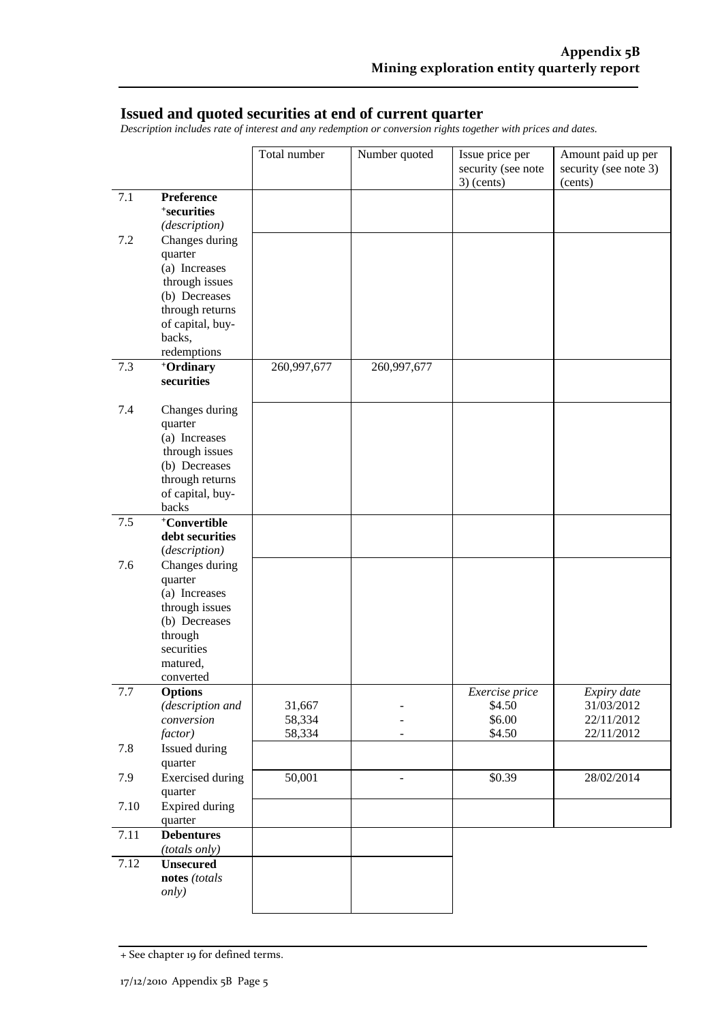#### **Issued and quoted securities at end of current quarter**

*Description includes rate of interest and any redemption or conversion rights together with prices and dates.* 

|      |                                                                                                                                 | Total number     | Number quoted  | Issue price per<br>security (see note<br>$3)$ (cents) | Amount paid up per<br>security (see note 3)<br>(cents) |
|------|---------------------------------------------------------------------------------------------------------------------------------|------------------|----------------|-------------------------------------------------------|--------------------------------------------------------|
| 7.1  | Preference<br><sup>+</sup> securities<br>(description)                                                                          |                  |                |                                                       |                                                        |
| 7.2  | Changes during<br>quarter<br>(a) Increases<br>through issues                                                                    |                  |                |                                                       |                                                        |
|      | (b) Decreases<br>through returns<br>of capital, buy-<br>backs,<br>redemptions                                                   |                  |                |                                                       |                                                        |
| 7.3  | +Ordinary<br>securities                                                                                                         | 260,997,677      | 260,997,677    |                                                       |                                                        |
| 7.4  | Changes during<br>quarter<br>(a) Increases<br>through issues<br>(b) Decreases<br>through returns<br>of capital, buy-<br>backs   |                  |                |                                                       |                                                        |
| 7.5  | +Convertible<br>debt securities<br>(description)                                                                                |                  |                |                                                       |                                                        |
| 7.6  | Changes during<br>quarter<br>(a) Increases<br>through issues<br>(b) Decreases<br>through<br>securities<br>matured,<br>converted |                  |                |                                                       |                                                        |
| 7.7  | <b>Options</b><br>(description and<br>conversion                                                                                | 31,667<br>58,334 |                | Exercise price<br>\$4.50<br>\$6.00                    | Expiry date<br>31/03/2012<br>22/11/2012                |
| 7.8  | factor)<br>Issued during                                                                                                        | 58,334           |                | \$4.50                                                | 22/11/2012                                             |
| 7.9  | quarter<br><b>Exercised</b> during<br>quarter                                                                                   | 50,001           | $\overline{a}$ | \$0.39                                                | 28/02/2014                                             |
| 7.10 | Expired during<br>quarter                                                                                                       |                  |                |                                                       |                                                        |
| 7.11 | <b>Debentures</b><br>(totals only)                                                                                              |                  |                |                                                       |                                                        |
| 7.12 | <b>Unsecured</b><br>notes (totals<br><i>only</i> )                                                                              |                  |                |                                                       |                                                        |

<sup>+</sup> See chapter 19 for defined terms.